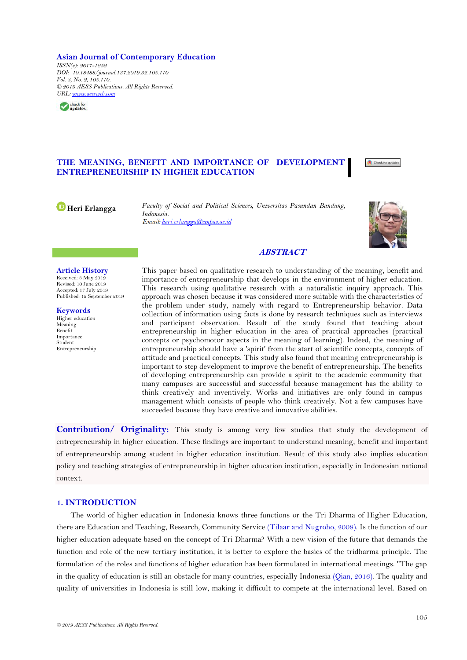**Asian Journal of Contemporary Education** *ISSN(e): 2617-1252 DOI: 10.18488/journal.137.2019.32.105.110 Vol. 3, No. 2, 105.110. © 2019 AESS Publications. All Rights Reserved. URL: [www.aessweb.com](http://www.aessweb.com/)*



# **THE MEANING, BENEFIT AND IMPORTANCE OF DEVELOPMENT ENTREPRENEURSHIP IN HIGHER EDUCATION**

Check for updates

**[H](https://orcid.org/0000-0002-5392-8916)eri Erlangga** *Faculty of Social and Political Sciences, Universitas Pasundan Bandung, Indonesia.* Email heri erlangga@unpas.ac.id



# **ABSTRACT**

**Article History** Received: 8 May 2019 Revised: 10 June 2019 Accepted: 17 July 2019 Published: 12 September 2019

**Keywords** Higher education Meaning Benefit Importance Student Entrepreneurship. This paper based on qualitative research to understanding of the meaning, benefit and importance of entrepreneurship that develops in the environment of higher education. This research using qualitative research with a naturalistic inquiry approach. This approach was chosen because it was considered more suitable with the characteristics of the problem under study, namely with regard to Entrepreneurship behavior. Data collection of information using facts is done by research techniques such as interviews and participant observation. Result of the study found that teaching about entrepreneurship in higher education in the area of practical approaches (practical concepts or psychomotor aspects in the meaning of learning). Indeed, the meaning of entrepreneurship should have a 'spirit' from the start of scientific concepts, concepts of attitude and practical concepts. This study also found that meaning entrepreneurship is important to step development to improve the benefit of entrepreneurship. The benefits of developing entrepreneurship can provide a spirit to the academic community that many campuses are successful and successful because management has the ability to think creatively and inventively. Works and initiatives are only found in campus management which consists of people who think creatively. Not a few campuses have succeeded because they have creative and innovative abilities.

**Contribution/ Originality:** This study is among very few studies that study the development of entrepreneurship in higher education. These findings are important to understand meaning, benefit and important of entrepreneurship among student in higher education institution. Result of this study also implies education policy and teaching strategies of entrepreneurship in higher education institution, especially in Indonesian national context.

# **1. INTRODUCTION**

The world of higher education in Indonesia knows three functions or the Tri Dharma of Higher Education, there are Education and Teaching, Research, Community Service [\(Tilaar and Nugroho, 2008\)](#page-5-0). Is the function of our higher education adequate based on the concept of Tri Dharma? With a new vision of the future that demands the function and role of the new tertiary institution, it is better to explore the basics of the tridharma principle. The formulation of the roles and functions of higher education has been formulated in international meetings. "The gap in the quality of education is still an obstacle for many countries, especially Indonesia [\(Qian, 2016\)](#page-5-1). The quality and quality of universities in Indonesia is still low, making it difficult to compete at the international level. Based on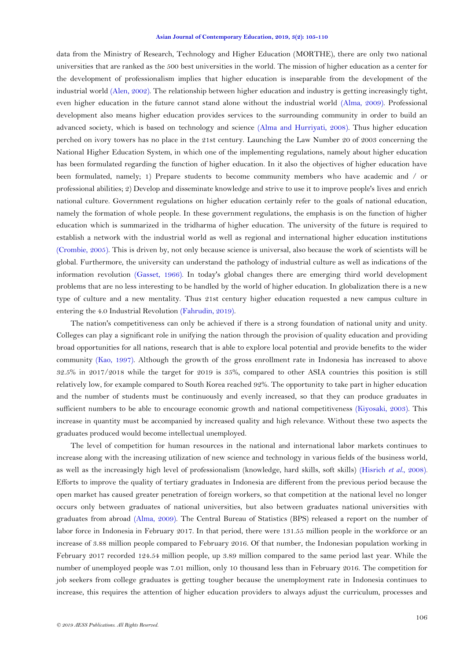#### **Asian Journal of Contemporary Education, 2019, 3(2): 105-110**

data from the Ministry of Research, Technology and Higher Education (MORTHE), there are only two national universities that are ranked as the 500 best universities in the world. The mission of higher education as a center for the development of professionalism implies that higher education is inseparable from the development of the industrial world [\(Alen, 2002\)](#page-5-2). The relationship between higher education and industry is getting increasingly tight, even higher education in the future cannot stand alone without the industrial world [\(Alma, 2009\)](#page-5-3). Professional development also means higher education provides services to the surrounding community in order to build an advanced society, which is based on technology and science [\(Alma and Hurriyati, 2008\)](#page-5-4). Thus higher education perched on ivory towers has no place in the 21st century. Launching the Law Number 20 of 2003 concerning the National Higher Education System, in which one of the implementing regulations, namely about higher education has been formulated regarding the function of higher education. In it also the objectives of higher education have been formulated, namely; 1) Prepare students to become community members who have academic and / or professional abilities; 2) Develop and disseminate knowledge and strive to use it to improve people's lives and enrich national culture. Government regulations on higher education certainly refer to the goals of national education, namely the formation of whole people. In these government regulations, the emphasis is on the function of higher education which is summarized in the tridharma of higher education. The university of the future is required to establish a network with the industrial world as well as regional and international higher education institutions [\(Crombie, 2005\)](#page-5-5). This is driven by, not only because science is universal, also because the work of scientists will be global. Furthermore, the university can understand the pathology of industrial culture as well as indications of the information revolution [\(Gasset, 1966\)](#page-5-6). In today's global changes there are emerging third world development problems that are no less interesting to be handled by the world of higher education. In globalization there is a new type of culture and a new mentality. Thus 21st century higher education requested a new campus culture in entering the 4.0 Industrial Revolution [\(Fahrudin, 2019\)](#page-5-7).

The nation's competitiveness can only be achieved if there is a strong foundation of national unity and unity. Colleges can play a significant role in unifying the nation through the provision of quality education and providing broad opportunities for all nations, research that is able to explore local potential and provide benefits to the wider community [\(Kao, 1997\)](#page-5-8). Although the growth of the gross enrollment rate in Indonesia has increased to above 32.5% in 2017/2018 while the target for 2019 is 35%, compared to other ASIA countries this position is still relatively low, for example compared to South Korea reached 92%. The opportunity to take part in higher education and the number of students must be continuously and evenly increased, so that they can produce graduates in sufficient numbers to be able to encourage economic growth and national competitiveness [\(Kiyosaki, 2003\)](#page-5-9). This increase in quantity must be accompanied by increased quality and high relevance. Without these two aspects the graduates produced would become intellectual unemployed.

The level of competition for human resources in the national and international labor markets continues to increase along with the increasing utilization of new science and technology in various fields of the business world, as well as the increasingly high level of professionalism (knowledge, hard skills, soft skills) [\(Hisrich](#page-5-10) *et al.*, 2008). Efforts to improve the quality of tertiary graduates in Indonesia are different from the previous period because the open market has caused greater penetration of foreign workers, so that competition at the national level no longer occurs only between graduates of national universities, but also between graduates national universities with graduates from abroad [\(Alma, 2009\)](#page-5-3). The Central Bureau of Statistics (BPS) released a report on the number of labor force in Indonesia in February 2017. In that period, there were 131.55 million people in the workforce or an increase of 3.88 million people compared to February 2016. Of that number, the Indonesian population working in February 2017 recorded 124.54 million people, up 3.89 million compared to the same period last year. While the number of unemployed people was 7.01 million, only 10 thousand less than in February 2016. The competition for job seekers from college graduates is getting tougher because the unemployment rate in Indonesia continues to increase, this requires the attention of higher education providers to always adjust the curriculum, processes and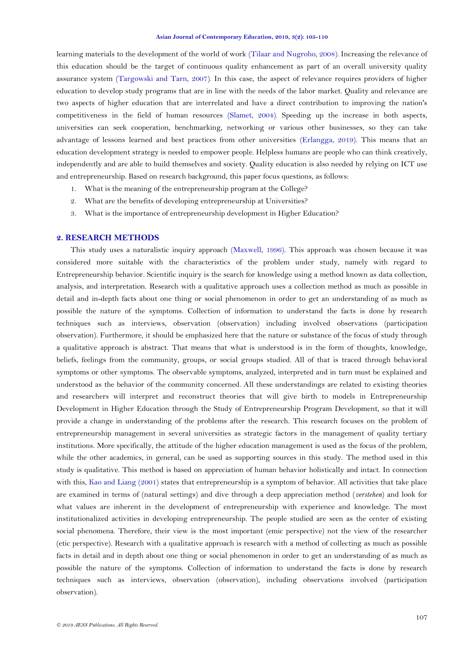learning materials to the development of the world of work [\(Tilaar and Nugroho, 2008\)](#page-5-0). Increasing the relevance of this education should be the target of continuous quality enhancement as part of an overall university quality assurance system [\(Targowski and Tarn, 2007\)](#page-5-11). In this case, the aspect of relevance requires providers of higher education to develop study programs that are in line with the needs of the labor market. Quality and relevance are two aspects of higher education that are interrelated and have a direct contribution to improving the nation's competitiveness in the field of human resources [\(Slamet, 2004\)](#page-5-12). Speeding up the increase in both aspects, universities can seek cooperation, benchmarking, networking or various other businesses, so they can take advantage of lessons learned and best practices from other universities [\(Erlangga, 2019\)](#page-5-13). This means that an education development strategy is needed to empower people. Helpless humans are people who can think creatively, independently and are able to build themselves and society. Quality education is also needed by relying on ICT use and entrepreneurship. Based on research background, this paper focus questions, as follows:

- 1. What is the meaning of the entrepreneurship program at the College?
- 2. What are the benefits of developing entrepreneurship at Universities?
- 3. What is the importance of entrepreneurship development in Higher Education?

#### **2. RESEARCH METHODS**

This study uses a naturalistic inquiry approach [\(Maxwell, 1996\)](#page-5-14). This approach was chosen because it was considered more suitable with the characteristics of the problem under study, namely with regard to Entrepreneurship behavior. Scientific inquiry is the search for knowledge using a method known as data collection, analysis, and interpretation. Research with a qualitative approach uses a collection method as much as possible in detail and in-depth facts about one thing or social phenomenon in order to get an understanding of as much as possible the nature of the symptoms. Collection of information to understand the facts is done by research techniques such as interviews, observation (observation) including involved observations (participation observation). Furthermore, it should be emphasized here that the nature or substance of the focus of study through a qualitative approach is abstract. That means that what is understood is in the form of thoughts, knowledge, beliefs, feelings from the community, groups, or social groups studied. All of that is traced through behavioral symptoms or other symptoms. The observable symptoms, analyzed, interpreted and in turn must be explained and understood as the behavior of the community concerned. All these understandings are related to existing theories and researchers will interpret and reconstruct theories that will give birth to models in Entrepreneurship Development in Higher Education through the Study of Entrepreneurship Program Development, so that it will provide a change in understanding of the problems after the research. This research focuses on the problem of entrepreneurship management in several universities as strategic factors in the management of quality tertiary institutions. More specifically, the attitude of the higher education management is used as the focus of the problem, while the other academics, in general, can be used as supporting sources in this study. The method used in this study is qualitative. This method is based on appreciation of human behavior holistically and intact. In connection with this, [Kao and Liang \(2001\)](#page-5-15) states that entrepreneurship is a symptom of behavior. All activities that take place are examined in terms of (natural settings) and dive through a deep appreciation method (*verstehen*) and look for what values are inherent in the development of entrepreneurship with experience and knowledge. The most institutionalized activities in developing entrepreneurship. The people studied are seen as the center of existing social phenomena. Therefore, their view is the most important (emic perspective) not the view of the researcher (etic perspective). Research with a qualitative approach is research with a method of collecting as much as possible facts in detail and in depth about one thing or social phenomenon in order to get an understanding of as much as possible the nature of the symptoms. Collection of information to understand the facts is done by research techniques such as interviews, observation (observation), including observations involved (participation observation).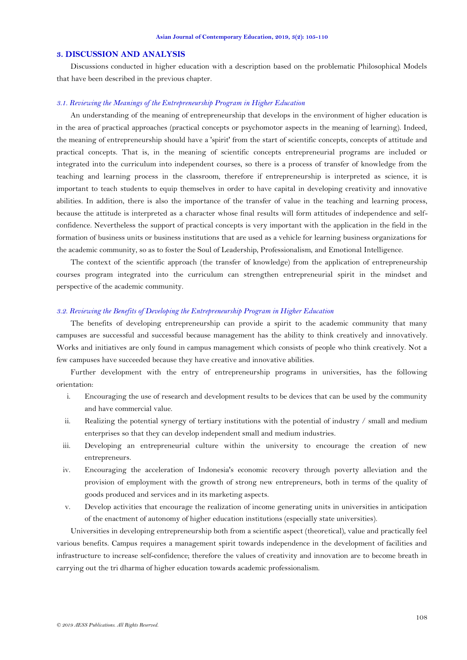## **3. DISCUSSION AND ANALYSIS**

Discussions conducted in higher education with a description based on the problematic Philosophical Models that have been described in the previous chapter.

#### *3.1. Reviewing the Meanings of the Entrepreneurship Program in Higher Education*

An understanding of the meaning of entrepreneurship that develops in the environment of higher education is in the area of practical approaches (practical concepts or psychomotor aspects in the meaning of learning). Indeed, the meaning of entrepreneurship should have a 'spirit' from the start of scientific concepts, concepts of attitude and practical concepts. That is, in the meaning of scientific concepts entrepreneurial programs are included or integrated into the curriculum into independent courses, so there is a process of transfer of knowledge from the teaching and learning process in the classroom, therefore if entrepreneurship is interpreted as science, it is important to teach students to equip themselves in order to have capital in developing creativity and innovative abilities. In addition, there is also the importance of the transfer of value in the teaching and learning process, because the attitude is interpreted as a character whose final results will form attitudes of independence and selfconfidence. Nevertheless the support of practical concepts is very important with the application in the field in the formation of business units or business institutions that are used as a vehicle for learning business organizations for the academic community, so as to foster the Soul of Leadership, Professionalism, and Emotional Intelligence.

The context of the scientific approach (the transfer of knowledge) from the application of entrepreneurship courses program integrated into the curriculum can strengthen entrepreneurial spirit in the mindset and perspective of the academic community.

### *3.2. Reviewing the Benefits of Developing the Entrepreneurship Program in Higher Education*

The benefits of developing entrepreneurship can provide a spirit to the academic community that many campuses are successful and successful because management has the ability to think creatively and innovatively. Works and initiatives are only found in campus management which consists of people who think creatively. Not a few campuses have succeeded because they have creative and innovative abilities.

Further development with the entry of entrepreneurship programs in universities, has the following orientation:

- i. Encouraging the use of research and development results to be devices that can be used by the community and have commercial value.
- ii. Realizing the potential synergy of tertiary institutions with the potential of industry / small and medium enterprises so that they can develop independent small and medium industries.
- iii. Developing an entrepreneurial culture within the university to encourage the creation of new entrepreneurs.
- iv. Encouraging the acceleration of Indonesia's economic recovery through poverty alleviation and the provision of employment with the growth of strong new entrepreneurs, both in terms of the quality of goods produced and services and in its marketing aspects.
- v. Develop activities that encourage the realization of income generating units in universities in anticipation of the enactment of autonomy of higher education institutions (especially state universities).

Universities in developing entrepreneurship both from a scientific aspect (theoretical), value and practically feel various benefits. Campus requires a management spirit towards independence in the development of facilities and infrastructure to increase self-confidence; therefore the values of creativity and innovation are to become breath in carrying out the tri dharma of higher education towards academic professionalism.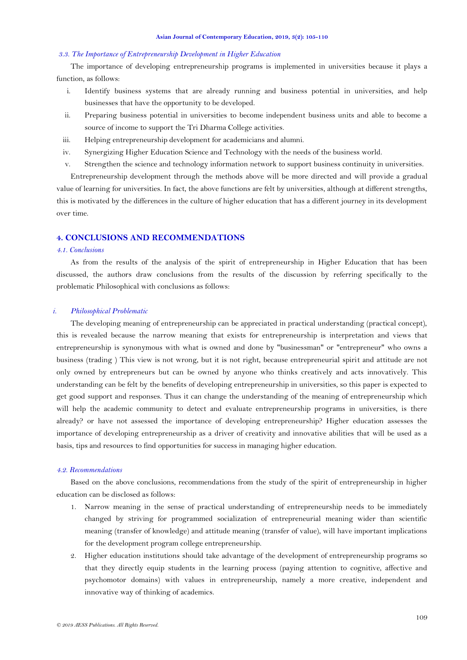#### *3.3. The Importance of Entrepreneurship Development in Higher Education*

The importance of developing entrepreneurship programs is implemented in universities because it plays a function, as follows:

- i. Identify business systems that are already running and business potential in universities, and help businesses that have the opportunity to be developed.
- ii. Preparing business potential in universities to become independent business units and able to become a source of income to support the Tri Dharma College activities.
- iii. Helping entrepreneurship development for academicians and alumni.
- iv. Synergizing Higher Education Science and Technology with the needs of the business world.
- v. Strengthen the science and technology information network to support business continuity in universities.

Entrepreneurship development through the methods above will be more directed and will provide a gradual value of learning for universities. In fact, the above functions are felt by universities, although at different strengths, this is motivated by the differences in the culture of higher education that has a different journey in its development over time.

## **4. CONCLUSIONS AND RECOMMENDATIONS**

#### *4.1. Conclusions*

As from the results of the analysis of the spirit of entrepreneurship in Higher Education that has been discussed, the authors draw conclusions from the results of the discussion by referring specifically to the problematic Philosophical with conclusions as follows:

#### *i. Philosophical Problematic*

The developing meaning of entrepreneurship can be appreciated in practical understanding (practical concept), this is revealed because the narrow meaning that exists for entrepreneurship is interpretation and views that entrepreneurship is synonymous with what is owned and done by "businessman" or "entrepreneur" who owns a business (trading ) This view is not wrong, but it is not right, because entrepreneurial spirit and attitude are not only owned by entrepreneurs but can be owned by anyone who thinks creatively and acts innovatively. This understanding can be felt by the benefits of developing entrepreneurship in universities, so this paper is expected to get good support and responses. Thus it can change the understanding of the meaning of entrepreneurship which will help the academic community to detect and evaluate entrepreneurship programs in universities, is there already? or have not assessed the importance of developing entrepreneurship? Higher education assesses the importance of developing entrepreneurship as a driver of creativity and innovative abilities that will be used as a basis, tips and resources to find opportunities for success in managing higher education.

#### *4.2. Recommendations*

Based on the above conclusions, recommendations from the study of the spirit of entrepreneurship in higher education can be disclosed as follows:

- 1. Narrow meaning in the sense of practical understanding of entrepreneurship needs to be immediately changed by striving for programmed socialization of entrepreneurial meaning wider than scientific meaning (transfer of knowledge) and attitude meaning (transfer of value), will have important implications for the development program college entrepreneurship.
- 2. Higher education institutions should take advantage of the development of entrepreneurship programs so that they directly equip students in the learning process (paying attention to cognitive, affective and psychomotor domains) with values in entrepreneurship, namely a more creative, independent and innovative way of thinking of academics.